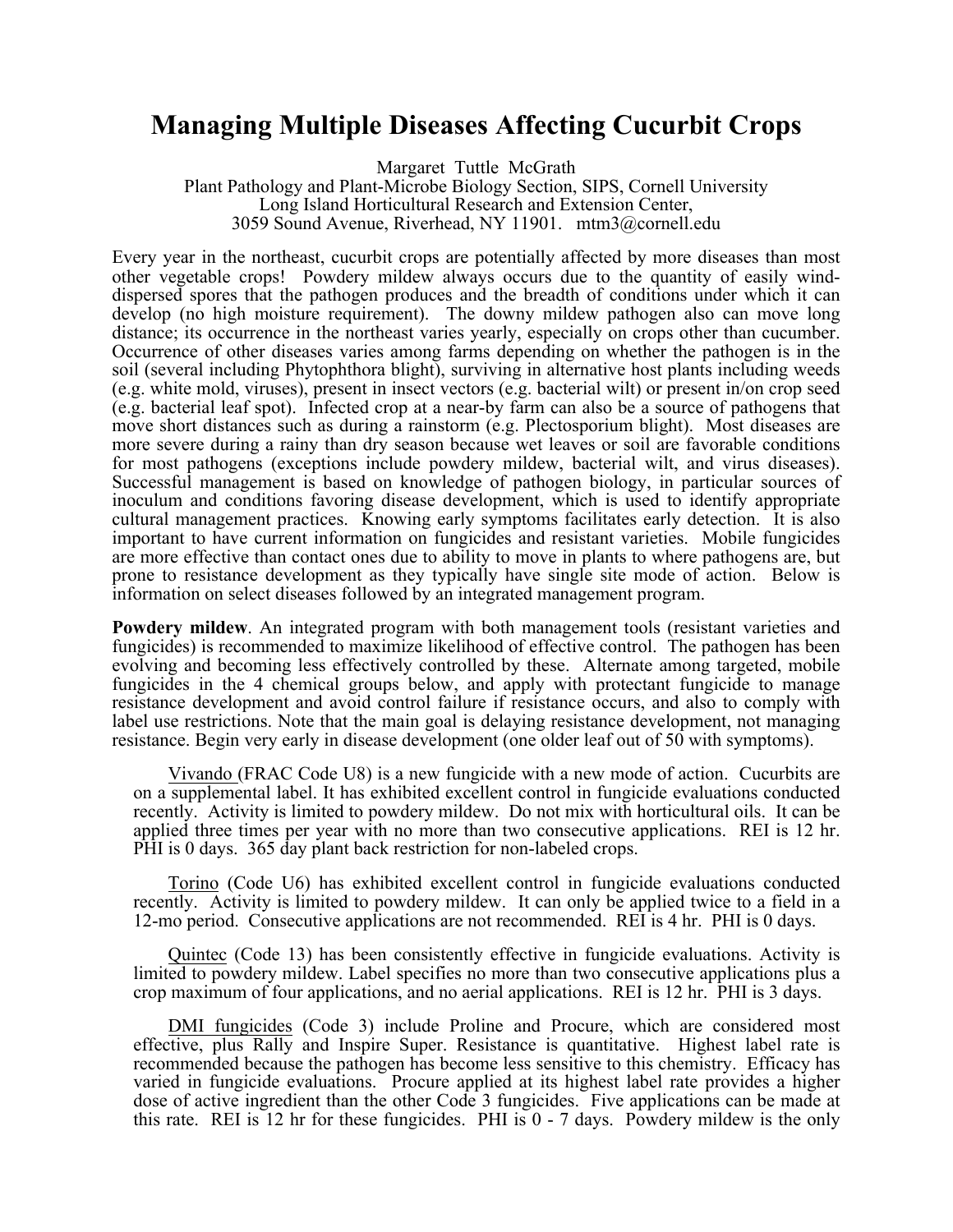## **Managing Multiple Diseases Affecting Cucurbit Crops**

Margaret Tuttle McGrath Plant Pathology and Plant-Microbe Biology Section, SIPS, Cornell University Long Island Horticultural Research and Extension Center, 3059 Sound Avenue, Riverhead, NY 11901. mtm3@cornell.edu

Every year in the northeast, cucurbit crops are potentially affected by more diseases than most other vegetable crops! Powdery mildew always occurs due to the quantity of easily winddispersed spores that the pathogen produces and the breadth of conditions under which it can develop (no high moisture requirement). The downy mildew pathogen also can move long distance; its occurrence in the northeast varies yearly, especially on crops other than cucumber. Occurrence of other diseases varies among farms depending on whether the pathogen is in the soil (several including Phytophthora blight), surviving in alternative host plants including weeds (e.g. white mold, viruses), present in insect vectors (e.g. bacterial wilt) or present in/on crop seed (e.g. bacterial leaf spot). Infected crop at a near-by farm can also be a source of pathogens that move short distances such as during a rainstorm (e.g. Plectosporium blight). Most diseases are more severe during a rainy than dry season because wet leaves or soil are favorable conditions for most pathogens (exceptions include powdery mildew, bacterial wilt, and virus diseases). Successful management is based on knowledge of pathogen biology, in particular sources of inoculum and conditions favoring disease development, which is used to identify appropriate cultural management practices. Knowing early symptoms facilitates early detection. It is also important to have current information on fungicides and resistant varieties. Mobile fungicides are more effective than contact ones due to ability to move in plants to where pathogens are, but prone to resistance development as they typically have single site mode of action. Below is information on select diseases followed by an integrated management program.

**Powdery mildew**. An integrated program with both management tools (resistant varieties and fungicides) is recommended to maximize likelihood of effective control. The pathogen has been evolving and becoming less effectively controlled by these. Alternate among targeted, mobile fungicides in the 4 chemical groups below, and apply with protectant fungicide to manage resistance development and avoid control failure if resistance occurs, and also to comply with label use restrictions. Note that the main goal is delaying resistance development, not managing resistance. Begin very early in disease development (one older leaf out of 50 with symptoms).

Vivando (FRAC Code U8) is a new fungicide with a new mode of action. Cucurbits are on a supplemental label. It has exhibited excellent control in fungicide evaluations conducted recently. Activity is limited to powdery mildew. Do not mix with horticultural oils. It can be applied three times per year with no more than two consecutive applications. REI is 12 hr. PHI is 0 days. 365 day plant back restriction for non-labeled crops.

Torino (Code U6) has exhibited excellent control in fungicide evaluations conducted recently. Activity is limited to powdery mildew. It can only be applied twice to a field in a 12-mo period. Consecutive applications are not recommended. REI is 4 hr. PHI is 0 days.

Quintec (Code 13) has been consistently effective in fungicide evaluations. Activity is limited to powdery mildew. Label specifies no more than two consecutive applications plus a crop maximum of four applications, and no aerial applications. REI is 12 hr. PHI is 3 days.

DMI fungicides (Code 3) include Proline and Procure, which are considered most effective, plus Rally and Inspire Super. Resistance is quantitative. Highest label rate is recommended because the pathogen has become less sensitive to this chemistry. Efficacy has varied in fungicide evaluations. Procure applied at its highest label rate provides a higher dose of active ingredient than the other Code 3 fungicides. Five applications can be made at this rate. REI is 12 hr for these fungicides. PHI is  $0 - 7$  days. Powdery mildew is the only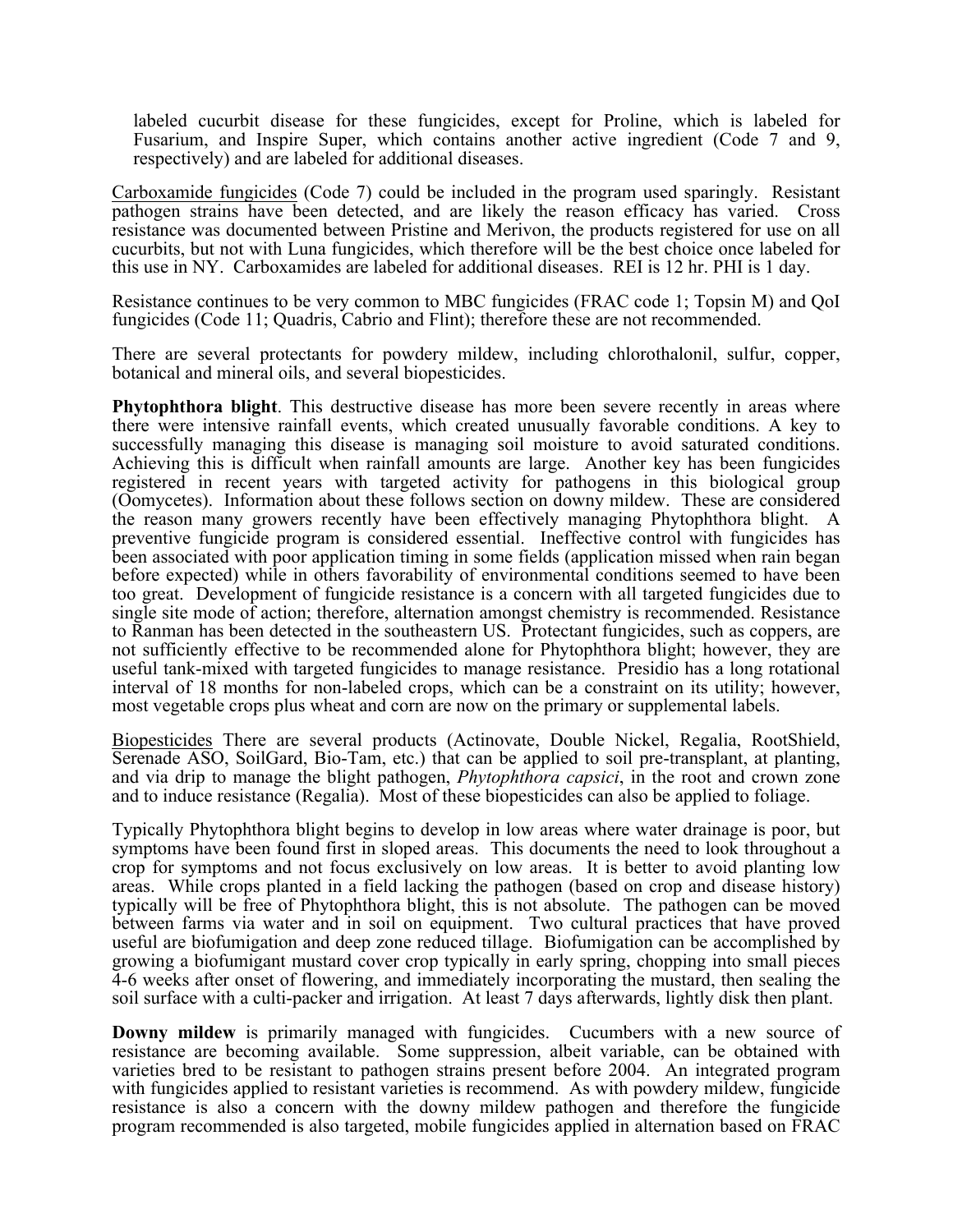labeled cucurbit disease for these fungicides, except for Proline, which is labeled for Fusarium, and Inspire Super, which contains another active ingredient (Code 7 and 9, respectively) and are labeled for additional diseases.

Carboxamide fungicides (Code 7) could be included in the program used sparingly. Resistant pathogen strains have been detected, and are likely the reason efficacy has varied. Cross resistance was documented between Pristine and Merivon, the products registered for use on all cucurbits, but not with Luna fungicides, which therefore will be the best choice once labeled for this use in NY. Carboxamides are labeled for additional diseases. REI is 12 hr. PHI is 1 day.

Resistance continues to be very common to MBC fungicides (FRAC code 1; Topsin M) and QoI fungicides (Code 11; Quadris, Cabrio and Flint); therefore these are not recommended.

There are several protectants for powdery mildew, including chlorothalonil, sulfur, copper, botanical and mineral oils, and several biopesticides.

**Phytophthora blight**. This destructive disease has more been severe recently in areas where there were intensive rainfall events, which created unusually favorable conditions. A key to successfully managing this disease is managing soil moisture to avoid saturated conditions. Achieving this is difficult when rainfall amounts are large. Another key has been fungicides registered in recent years with targeted activity for pathogens in this biological group (Oomycetes). Information about these follows section on downy mildew. These are considered the reason many growers recently have been effectively managing Phytophthora blight. A preventive fungicide program is considered essential. Ineffective control with fungicides has been associated with poor application timing in some fields (application missed when rain began before expected) while in others favorability of environmental conditions seemed to have been too great. Development of fungicide resistance is a concern with all targeted fungicides due to single site mode of action; therefore, alternation amongst chemistry is recommended. Resistance to Ranman has been detected in the southeastern US. Protectant fungicides, such as coppers, are not sufficiently effective to be recommended alone for Phytophthora blight; however, they are useful tank-mixed with targeted fungicides to manage resistance.Presidio has a long rotational interval of 18 months for non-labeled crops, which can be a constraint on its utility; however, most vegetable crops plus wheat and corn are now on the primary or supplemental labels.

Biopesticides There are several products (Actinovate, Double Nickel, Regalia, RootShield, Serenade ASO, SoilGard, Bio-Tam, etc.) that can be applied to soil pre-transplant, at planting, and via drip to manage the blight pathogen, *Phytophthora capsici*, in the root and crown zone and to induce resistance (Regalia). Most of these biopesticides can also be applied to foliage.

Typically Phytophthora blight begins to develop in low areas where water drainage is poor, but symptoms have been found first in sloped areas. This documents the need to look throughout a crop for symptoms and not focus exclusively on low areas. It is better to avoid planting low areas. While crops planted in a field lacking the pathogen (based on crop and disease history) typically will be free of Phytophthora blight, this is not absolute. The pathogen can be moved between farms via water and in soil on equipment. Two cultural practices that have proved useful are biofumigation and deep zone reduced tillage. Biofumigation can be accomplished by growing a biofumigant mustard cover crop typically in early spring, chopping into small pieces 4-6 weeks after onset of flowering, and immediately incorporating the mustard, then sealing the soil surface with a culti-packer and irrigation. At least 7 days afterwards, lightly disk then plant.

**Downy mildew** is primarily managed with fungicides. Cucumbers with a new source of resistance are becoming available. Some suppression, albeit variable, can be obtained with varieties bred to be resistant to pathogen strains present before 2004. An integrated program with fungicides applied to resistant varieties is recommend. As with powdery mildew, fungicide resistance is also a concern with the downy mildew pathogen and therefore the fungicide program recommended is also targeted, mobile fungicides applied in alternation based on FRAC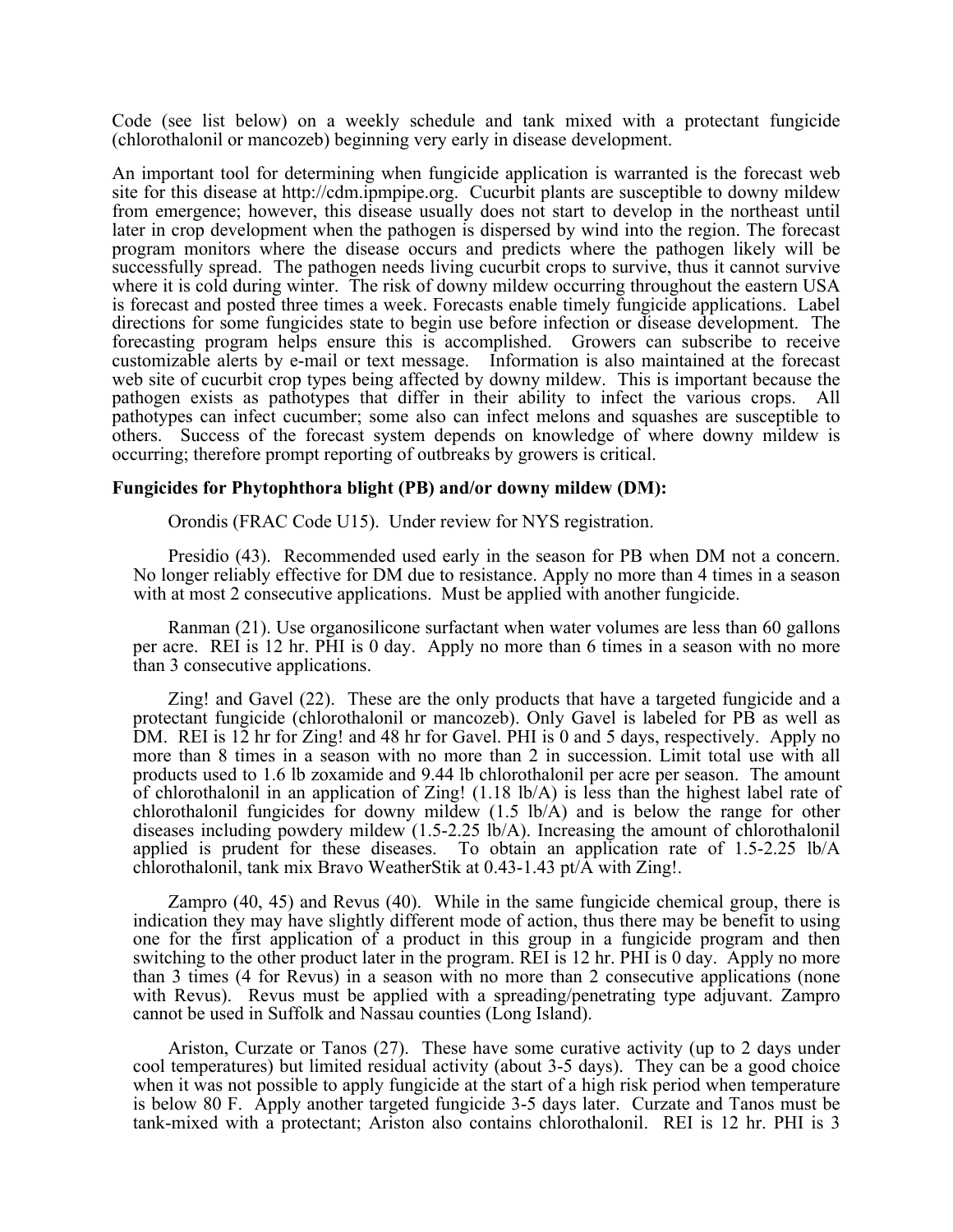Code (see list below) on a weekly schedule and tank mixed with a protectant fungicide (chlorothalonil or mancozeb) beginning very early in disease development.

An important tool for determining when fungicide application is warranted is the forecast web site for this disease at http://cdm.ipmpipe.org. Cucurbit plants are susceptible to downy mildew from emergence; however, this disease usually does not start to develop in the northeast until later in crop development when the pathogen is dispersed by wind into the region. The forecast program monitors where the disease occurs and predicts where the pathogen likely will be successfully spread. The pathogen needs living cucurbit crops to survive, thus it cannot survive where it is cold during winter. The risk of downy mildew occurring throughout the eastern USA is forecast and posted three times a week. Forecasts enable timely fungicide applications. Label directions for some fungicides state to begin use before infection or disease development. The forecasting program helps ensure this is accomplished. Growers can subscribe to receive customizable alerts by e-mail or text message. Information is also maintained at the forecast web site of cucurbit crop types being affected by downy mildew. This is important because the pathogen exists as pathotypes that differ in their ability to infect the various crops. All pathotypes can infect cucumber; some also can infect melons and squashes are susceptible to others. Success of the forecast system depends on knowledge of where downy mildew is occurring; therefore prompt reporting of outbreaks by growers is critical.

## **Fungicides for Phytophthora blight (PB) and/or downy mildew (DM):**

Orondis (FRAC Code U15). Under review for NYS registration.

Presidio (43). Recommended used early in the season for PB when DM not a concern. No longer reliably effective for DM due to resistance. Apply no more than 4 times in a season with at most 2 consecutive applications. Must be applied with another fungicide.

Ranman (21). Use organosilicone surfactant when water volumes are less than 60 gallons per acre. REI is 12 hr. PHI is 0 day. Apply no more than 6 times in a season with no more than 3 consecutive applications.

Zing! and Gavel (22). These are the only products that have a targeted fungicide and a protectant fungicide (chlorothalonil or mancozeb). Only Gavel is labeled for PB as well as DM. REI is 12 hr for Zing! and 48 hr for Gavel. PHI is 0 and 5 days, respectively. Apply no more than 8 times in a season with no more than 2 in succession. Limit total use with all products used to 1.6 lb zoxamide and 9.44 lb chlorothalonil per acre per season. The amount of chlorothalonil in an application of Zing! (1.18 lb/A) is less than the highest label rate of chlorothalonil fungicides for downy mildew (1.5 lb/A) and is below the range for other diseases including powdery mildew  $(1.5{\text -}2.25 \text{ lb/A})$ . Increasing the amount of chlorothalonil applied is prudent for these diseases. To obtain an application rate of 1.5-2.25 lb/A chlorothalonil, tank mix Bravo WeatherStik at 0.43-1.43 pt/A with Zing!.

Zampro (40, 45) and Revus (40). While in the same fungicide chemical group, there is indication they may have slightly different mode of action, thus there may be benefit to using one for the first application of a product in this group in a fungicide program and then switching to the other product later in the program. REI is 12 hr. PHI is 0 day. Apply no more than 3 times (4 for Revus) in a season with no more than 2 consecutive applications (none with Revus). Revus must be applied with a spreading/penetrating type adjuvant. Zampro cannot be used in Suffolk and Nassau counties (Long Island).

Ariston, Curzate or Tanos (27). These have some curative activity (up to 2 days under cool temperatures) but limited residual activity (about 3-5 days). They can be a good choice when it was not possible to apply fungicide at the start of a high risk period when temperature is below 80 F. Apply another targeted fungicide 3-5 days later. Curzate and Tanos must be tank-mixed with a protectant; Ariston also contains chlorothalonil. REI is 12 hr. PHI is 3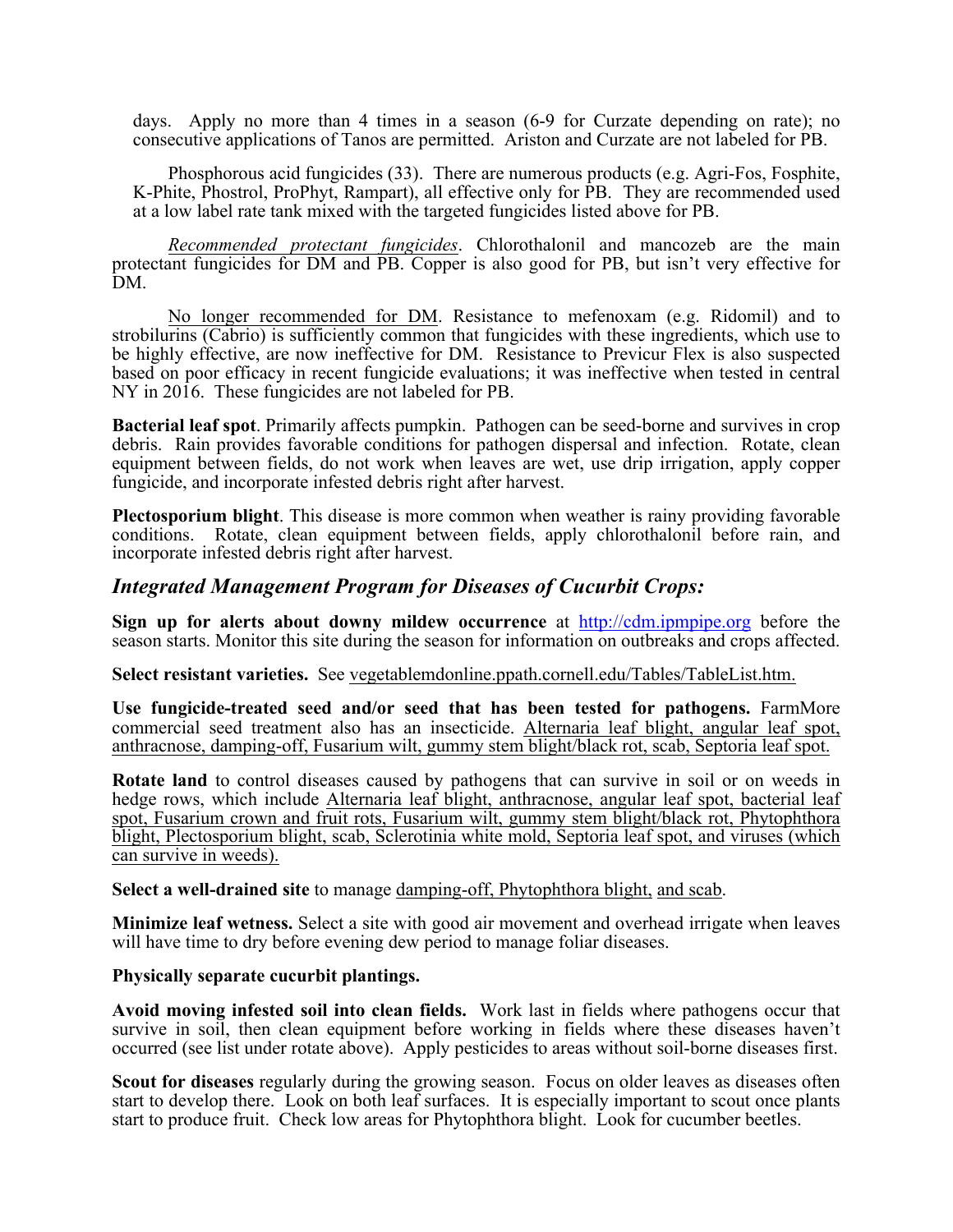days. Apply no more than 4 times in a season (6-9 for Curzate depending on rate); no consecutive applications of Tanos are permitted. Ariston and Curzate are not labeled for PB.

Phosphorous acid fungicides (33). There are numerous products (e.g. Agri-Fos, Fosphite, K-Phite, Phostrol, ProPhyt, Rampart), all effective only for PB. They are recommended used at a low label rate tank mixed with the targeted fungicides listed above for PB.

*Recommended protectant fungicides*. Chlorothalonil and mancozeb are the main protectant fungicides for DM and PB. Copper is also good for PB, but isn't very effective for DM.

No longer recommended for DM. Resistance to mefenoxam (e.g. Ridomil) and to strobilurins (Cabrio) is sufficiently common that fungicides with these ingredients, which use to be highly effective, are now ineffective for DM. Resistance to Previcur Flex is also suspected based on poor efficacy in recent fungicide evaluations; it was ineffective when tested in central NY in 2016. These fungicides are not labeled for PB.

**Bacterial leaf spot**. Primarily affects pumpkin. Pathogen can be seed-borne and survives in crop debris. Rain provides favorable conditions for pathogen dispersal and infection. Rotate, clean equipment between fields, do not work when leaves are wet, use drip irrigation, apply copper fungicide, and incorporate infested debris right after harvest.

**Plectosporium blight**. This disease is more common when weather is rainy providing favorable conditions. Rotate, clean equipment between fields, apply chlorothalonil before rain, and incorporate infested debris right after harvest.

## *Integrated Management Program for Diseases of Cucurbit Crops:*

**Sign up for alerts about downy mildew occurrence** at http://cdm.ipmpipe.org before the season starts. Monitor this site during the season for information on outbreaks and crops affected.

**Select resistant varieties.** See vegetablemdonline.ppath.cornell.edu/Tables/TableList.htm.

**Use fungicide-treated seed and/or seed that has been tested for pathogens.** FarmMore commercial seed treatment also has an insecticide. Alternaria leaf blight, angular leaf spot, anthracnose, damping-off, Fusarium wilt, gummy stem blight/black rot, scab, Septoria leaf spot.

**Rotate land** to control diseases caused by pathogens that can survive in soil or on weeds in hedge rows, which include Alternaria leaf blight, anthracnose, angular leaf spot, bacterial leaf spot, Fusarium crown and fruit rots, Fusarium wilt, gummy stem blight/black rot, Phytophthora blight, Plectosporium blight, scab, Sclerotinia white mold, Septoria leaf spot, and viruses (which can survive in weeds).

**Select a well-drained site** to manage damping-off, Phytophthora blight, and scab.

**Minimize leaf wetness.** Select a site with good air movement and overhead irrigate when leaves will have time to dry before evening dew period to manage foliar diseases.

## **Physically separate cucurbit plantings.**

**Avoid moving infested soil into clean fields.** Work last in fields where pathogens occur that survive in soil, then clean equipment before working in fields where these diseases haven't occurred (see list under rotate above). Apply pesticides to areas without soil-borne diseases first.

**Scout for diseases** regularly during the growing season. Focus on older leaves as diseases often start to develop there. Look on both leaf surfaces. It is especially important to scout once plants start to produce fruit. Check low areas for Phytophthora blight. Look for cucumber beetles.